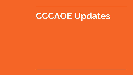# **CCCAOE Updates**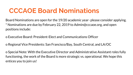#### **CCCAOE Board Nominations**

Board Nominations are open for the 19/20 academic year- please consider applying. \* Nominations are due by February 22, 2019 to Admin@cccaoe.org, and open positions include:

o Executive Board: President-Elect and Communications Officer

o Regional Vice Presidents: San Francisco/Bay, South Central, and LA/OC

o Special Note: With the Executive Director and Administrative Assistant roles fully functioning, the work of the Board is more strategic vs. operational. We hope this entices you to join us!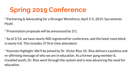## **Spring 2019 Conference**

\* Partnering & Advocating for a Stronger Workforce, April 3-5, 2019, Sacramento Hyatt

\* Presentation proposals will be announced by 3/1.

\* As of 2/14, we have nearly 400 registered for conference, and the hotel room block is nearly full. This includes 37 first-time attendees!

\* Keynote Highlight: We'll be joined by Dr. Victor Rios. Dr. Rios delivers a positive and re-affirming message of why we are in education. As a former gang member & troubled youth, Dr. Rios went through the system and is now advancing the need for education.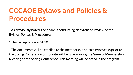## **CCCAOE Bylaws and Policies & Procedures**

\* As previously noted, the board is conducting an extensive review of the Bylaws, Polices & Procedures.

\* The last update was 2010.

\* The documents will be emailed to the membership at least two weeks prior to the Spring Conference, and a vote will be taken during the General Membership Meeting at the Spring Conference. This meeting will be noted in the program.